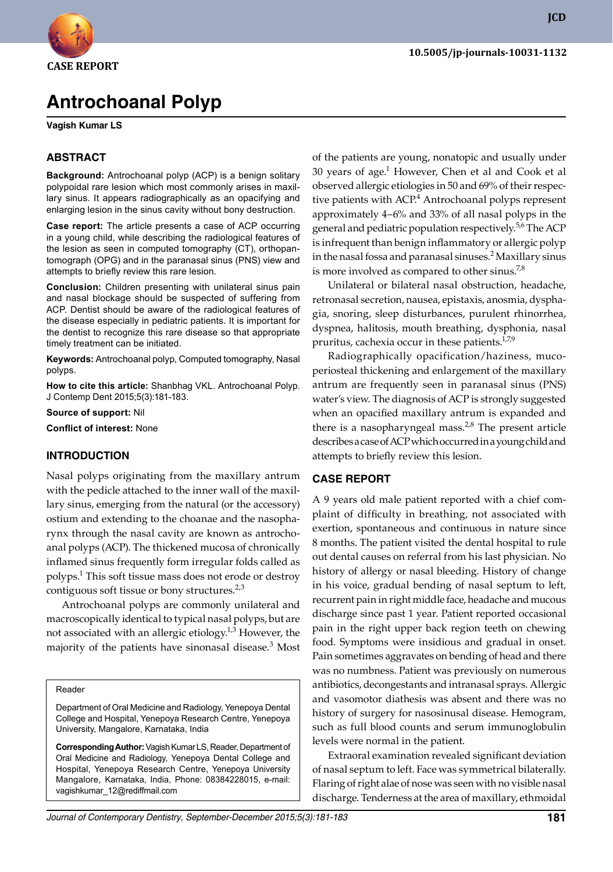

**JCD**

# **Antrochoanal Polyp**

**Vagish Kumar LS**

### **ABSTRACT**

**Background:** Antrochoanal polyp (ACP) is a benign solitary polypoidal rare lesion which most commonly arises in maxillary sinus. It appears radiographically as an opacifying and enlarging lesion in the sinus cavity without bony destruction.

**Case report:** The article presents a case of ACP occurring in a young child, while describing the radiological features of the lesion as seen in computed tomography (CT), orthopantomograph (OPG) and in the paranasal sinus (PNS) view and attempts to briefly review this rare lesion.

**Conclusion:** Children presenting with unilateral sinus pain and nasal blockage should be suspected of suffering from ACP. Dentist should be aware of the radiological features of the disease especially in pediatric patients. It is important for the dentist to recognize this rare disease so that appropriate timely treatment can be initiated.

**Keywords:** Antrochoanal polyp, Computed tomography, Nasal polyps.

**How to cite this article:** Shanbhag VKL. Antrochoanal Polyp. J Contemp Dent 2015;5(3):181-183.

**Source of support:** Nil

**Conflict of interest:** None

# **Introduction**

Nasal polyps originating from the maxillary antrum with the pedicle attached to the inner wall of the maxillary sinus, emerging from the natural (or the accessory) ostium and extending to the choanae and the nasopharynx through the nasal cavity are known as antrochoanal polyps (ACP). The thickened mucosa of chronically inflamed sinus frequently form irregular folds called as polyps.1 This soft tissue mass does not erode or destroy contiguous soft tissue or bony structures.<sup>2,3</sup>

Antrochoanal polyps are commonly unilateral and macroscopically identical to typical nasal polyps, but are not associated with an allergic etiology.<sup>1,3</sup> However, the majority of the patients have sinonasal disease.<sup>3</sup> Most

#### Reader

Department of Oral Medicine and Radiology, Yenepoya Dental College and Hospital, Yenepoya Research Centre, Yenepoya University, Mangalore, Karnataka, India

**Corresponding Author:** Vagish Kumar LS, Reader, Department of Oral Medicine and Radiology, Yenepoya Dental College and Hospital, Yenepoya Research Centre, Yenepoya University Mangalore, Karnataka, India, Phone: 08384228015, e-mail: vagishkumar\_12@rediffmail.com

of the patients are young, nonatopic and usually under 30 years of age. $1$  However, Chen et al and Cook et al observed allergic etiologies in 50 and 69% of their respective patients with ACP.<sup>4</sup> Antrochoanal polyps represent approximately 4–6% and 33% of all nasal polyps in the general and pediatric population respectively.<sup>5,6</sup> The ACP is infrequent than benign inflammatory or allergic polyp in the nasal fossa and paranasal sinuses.<sup>2</sup> Maxillary sinus is more involved as compared to other sinus.<sup>7,8</sup>

Unilateral or bilateral nasal obstruction, headache, retronasal secretion, nausea, epistaxis, anosmia, dysphagia, snoring, sleep disturbances, purulent rhinorrhea, dyspnea, halitosis, mouth breathing, dysphonia, nasal pruritus, cachexia occur in these patients.<sup>1,7,9</sup>

Radiographically opacification/haziness, mucoperiosteal thickening and enlargement of the maxillary antrum are frequently seen in paranasal sinus (PNS) water's view. The diagnosis of ACP is strongly suggested when an opacified maxillary antrum is expanded and there is a nasopharyngeal mass. $2,8$  The present article describes a case of ACP which occurred in a young child and attempts to briefly review this lesion.

# **Case report**

A 9 years old male patient reported with a chief complaint of difficulty in breathing, not associated with exertion, spontaneous and continuous in nature since 8 months. The patient visited the dental hospital to rule out dental causes on referral from his last physician. No history of allergy or nasal bleeding. History of change in his voice, gradual bending of nasal septum to left, recurrent pain in right middle face, headache and mucous discharge since past 1 year. Patient reported occasional pain in the right upper back region teeth on chewing food. Symptoms were insidious and gradual in onset. Pain sometimes aggravates on bending of head and there was no numbness. Patient was previously on numerous antibiotics, decongestants and intranasal sprays. Allergic and vasomotor diathesis was absent and there was no history of surgery for nasosinusal disease. Hemogram, such as full blood counts and serum immunoglobulin levels were normal in the patient.

Extraoral examination revealed significant deviation of nasal septum to left. Face was symmetrical bilaterally. Flaring of right alae of nose was seen with no visible nasal discharge. Tenderness at the area of maxillary, ethmoidal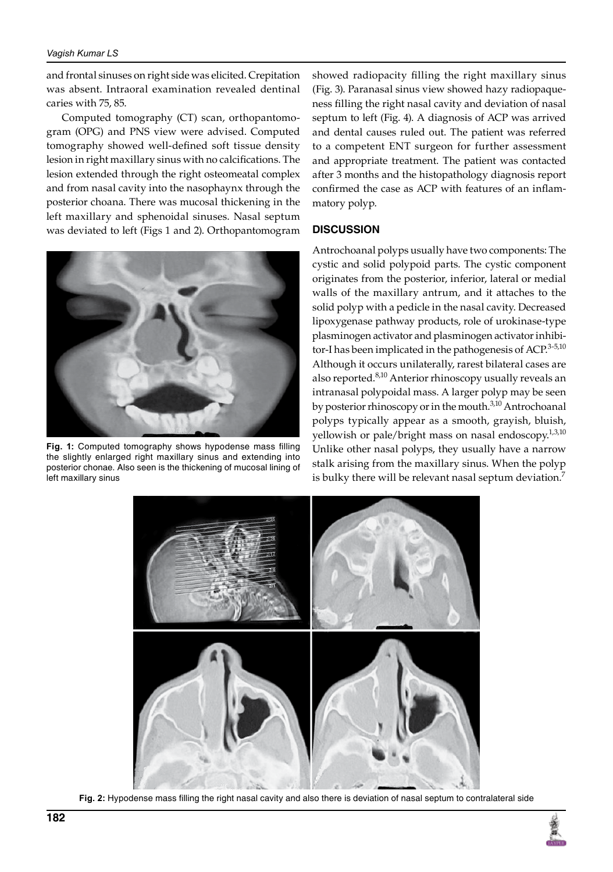and frontal sinuses on right side was elicited. Crepitation was absent. Intraoral examination revealed dentinal caries with 75, 85.

Computed tomography (CT) scan, orthopantomogram (OPG) and PNS view were advised. Computed tomography showed well-defined soft tissue density lesion in right maxillary sinus with no calcifications. The lesion extended through the right osteomeatal complex and from nasal cavity into the nasophaynx through the posterior choana. There was mucosal thickening in the left maxillary and sphenoidal sinuses. Nasal septum was deviated to left (Figs 1 and 2). Orthopantomogram



**Fig. 1:** Computed tomography shows hypodense mass filling the slightly enlarged right maxillary sinus and extending into posterior chonae. Also seen is the thickening of mucosal lining of left maxillary sinus

showed radiopacity filling the right maxillary sinus (Fig. 3). Paranasal sinus view showed hazy radiopaqueness filling the right nasal cavity and deviation of nasal septum to left (Fig. 4). A diagnosis of ACP was arrived and dental causes ruled out. The patient was referred to a competent ENT surgeon for further assessment and appropriate treatment. The patient was contacted after 3 months and the histopathology diagnosis report confirmed the case as ACP with features of an inflammatory polyp.

# **Discussion**

Antrochoanal polyps usually have two components: The cystic and solid polypoid parts. The cystic component originates from the posterior, inferior, lateral or medial walls of the maxillary antrum, and it attaches to the solid polyp with a pedicle in the nasal cavity. Decreased lipoxygenase pathway products, role of urokinase-type plasminogen activator and plasminogen activator inhibitor-I has been implicated in the pathogenesis of ACP.<sup>3-5,10</sup> Although it occurs unilaterally, rarest bilateral cases are also reported.<sup>8,10</sup> Anterior rhinoscopy usually reveals an intranasal polypoidal mass. A larger polyp may be seen by posterior rhinoscopy or in the mouth.<sup>3,10</sup> Antrochoanal polyps typically appear as a smooth, grayish, bluish, yellowish or pale/bright mass on nasal endoscopy.<sup>1,3,10</sup> Unlike other nasal polyps, they usually have a narrow stalk arising from the maxillary sinus. When the polyp is bulky there will be relevant nasal septum deviation.<sup>7</sup>



**Fig. 2:** Hypodense mass filling the right nasal cavity and also there is deviation of nasal septum to contralateral side